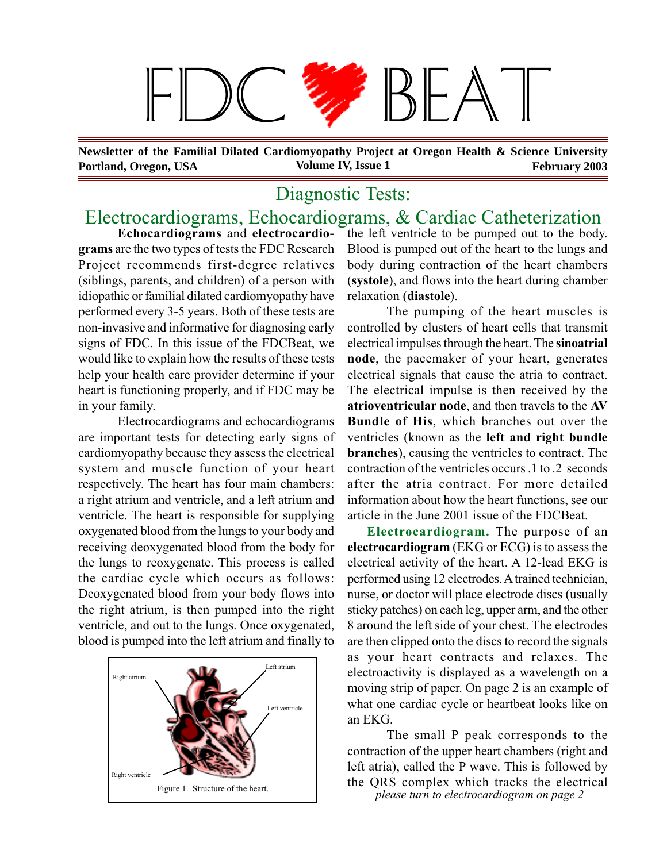# $\mathcal{L}$

**Portland, Oregon, USA** Volume IV, Issue 1 February 2003 **Newsletter of the Familial Dilated Cardiomyopathy Project at Oregon Health & Science University**

# Diagnostic Tests:

## Electrocardiograms, Echocardiograms, & Cardiac Catheterization

**Echocardiograms** and **electrocardiograms** are the two types of tests the FDC Research Project recommends first-degree relatives (siblings, parents, and children) of a person with idiopathic or familial dilated cardiomyopathy have performed every 3-5 years. Both of these tests are non-invasive and informative for diagnosing early signs of FDC. In this issue of the FDCBeat, we would like to explain how the results of these tests help your health care provider determine if your heart is functioning properly, and if FDC may be in your family.

Electrocardiograms and echocardiograms are important tests for detecting early signs of cardiomyopathy because they assess the electrical system and muscle function of your heart respectively. The heart has four main chambers: a right atrium and ventricle, and a left atrium and ventricle. The heart is responsible for supplying oxygenated blood from the lungs to your body and receiving deoxygenated blood from the body for the lungs to reoxygenate. This process is called the cardiac cycle which occurs as follows: Deoxygenated blood from your body flows into the right atrium, is then pumped into the right ventricle, and out to the lungs. Once oxygenated, blood is pumped into the left atrium and finally to



the left ventricle to be pumped out to the body. Blood is pumped out of the heart to the lungs and body during contraction of the heart chambers (**systole**), and flows into the heart during chamber relaxation (**diastole**).

The pumping of the heart muscles is controlled by clusters of heart cells that transmit electrical impulses through the heart. The **sinoatrial node**, the pacemaker of your heart, generates electrical signals that cause the atria to contract. The electrical impulse is then received by the **atrioventricular node**, and then travels to the **AV Bundle of His**, which branches out over the ventricles (known as the **left and right bundle branches**), causing the ventricles to contract. The contraction of the ventricles occurs .1 to .2 seconds after the atria contract. For more detailed information about how the heart functions, see our article in the June 2001 issue of the FDCBeat.

**Electrocardiogram.** The purpose of an **electrocardiogram** (EKG or ECG) is to assess the electrical activity of the heart. A 12-lead EKG is performed using 12 electrodes. A trained technician, nurse, or doctor will place electrode discs (usually sticky patches) on each leg, upper arm, and the other 8 around the left side of your chest. The electrodes are then clipped onto the discs to record the signals as your heart contracts and relaxes. The electroactivity is displayed as a wavelength on a moving strip of paper. On page 2 is an example of what one cardiac cycle or heartbeat looks like on an EKG.

The small P peak corresponds to the contraction of the upper heart chambers (right and left atria), called the P wave. This is followed by the QRS complex which tracks the electrical Figure 1. Structure of the heart.<br>*please turn to electrocardiogram on page 2*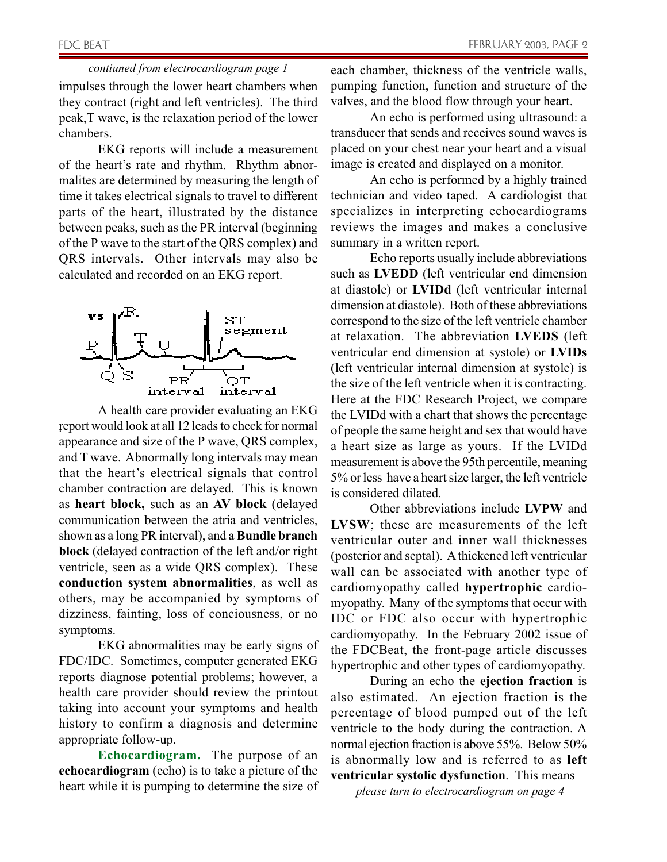impulses through the lower heart chambers when they contract (right and left ventricles). The third peak,T wave, is the relaxation period of the lower chambers. *contiuned from electrocardiogram page 1*

EKG reports will include a measurement of the heart's rate and rhythm. Rhythm abnormalites are determined by measuring the length of time it takes electrical signals to travel to different parts of the heart, illustrated by the distance between peaks, such as the PR interval (beginning of the P wave to the start of the QRS complex) and QRS intervals. Other intervals may also be calculated and recorded on an EKG report.



. report would look at all 12 leads to check for normal A health care provider evaluating an EKG appearance and size of the P wave, QRS complex, and T wave. Abnormally long intervals may mean that the heart's electrical signals that control chamber contraction are delayed. This is known as **heart block,** such as an **AV block** (delayed communication between the atria and ventricles, shown as a long PR interval), and a **Bundle branch block** (delayed contraction of the left and/or right ventricle, seen as a wide QRS complex). These **conduction system abnormalities**, as well as others, may be accompanied by symptoms of dizziness, fainting, loss of conciousness, or no symptoms.

EKG abnormalities may be early signs of FDC/IDC. Sometimes, computer generated EKG reports diagnose potential problems; however, a health care provider should review the printout taking into account your symptoms and health history to confirm a diagnosis and determine appropriate follow-up.

**Echocardiogram.** The purpose of an **echocardiogram** (echo) is to take a picture of the heart while it is pumping to determine the size of each chamber, thickness of the ventricle walls, pumping function, function and structure of the valves, and the blood flow through your heart.

An echo is performed using ultrasound: a transducer that sends and receives sound waves is placed on your chest near your heart and a visual image is created and displayed on a monitor.

An echo is performed by a highly trained technician and video taped. A cardiologist that specializes in interpreting echocardiograms reviews the images and makes a conclusive summary in a written report.

Echo reports usually include abbreviations such as **LVEDD** (left ventricular end dimension at diastole) or **LVIDd** (left ventricular internal dimension at diastole). Both of these abbreviations correspond to the size of the left ventricle chamber at relaxation. The abbreviation **LVEDS** (left ventricular end dimension at systole) or **LVIDs** (left ventricular internal dimension at systole) is the size of the left ventricle when it is contracting. Here at the FDC Research Project, we compare the LVIDd with a chart that shows the percentage of people the same height and sex that would have a heart size as large as yours. If the LVIDd measurement is above the 95th percentile, meaning 5% or less have a heart size larger, the left ventricle is considered dilated.

Other abbreviations include **LVPW** and **LVSW**; these are measurements of the left ventricular outer and inner wall thicknesses (posterior and septal). A thickened left ventricular wall can be associated with another type of cardiomyopathy called **hypertrophic** cardiomyopathy. Many of the symptoms that occur with IDC or FDC also occur with hypertrophic cardiomyopathy. In the February 2002 issue of the FDCBeat, the front-page article discusses hypertrophic and other types of cardiomyopathy.

During an echo the **ejection fraction** is also estimated. An ejection fraction is the percentage of blood pumped out of the left ventricle to the body during the contraction. A normal ejection fraction is above 55%. Below 50% is abnormally low and is referred to as **left ventricular systolic dysfunction**. This means

*please turn to electrocardiogram on page 4*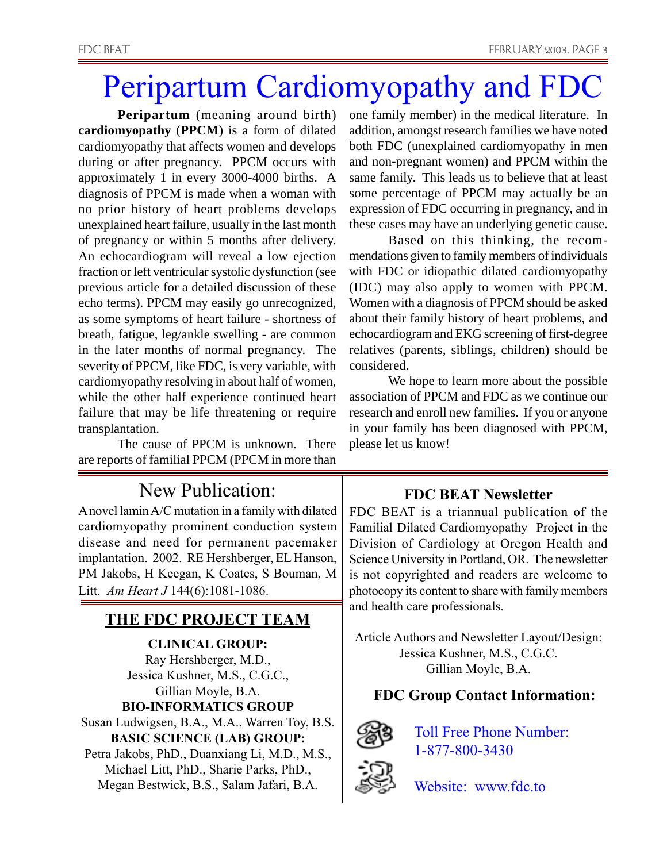# Peripartum Cardiomyopathy and FDC

**Peripartum** (meaning around birth) **cardiomyopathy** (**PPCM**) is a form of dilated cardiomyopathy that affects women and develops during or after pregnancy. PPCM occurs with approximately 1 in every 3000-4000 births. A diagnosis of PPCM is made when a woman with no prior history of heart problems develops unexplained heart failure, usually in the last month of pregnancy or within 5 months after delivery. An echocardiogram will reveal a low ejection fraction or left ventricular systolic dysfunction (see previous article for a detailed discussion of these echo terms). PPCM may easily go unrecognized, as some symptoms of heart failure - shortness of breath, fatigue, leg/ankle swelling - are common in the later months of normal pregnancy. The severity of PPCM, like FDC, is very variable, with cardiomyopathy resolving in about half of women, while the other half experience continued heart failure that may be life threatening or require transplantation.

The cause of PPCM is unknown. There are reports of familial PPCM (PPCM in more than

# New Publication:

A novel lamin A/C mutation in a family with dilated cardiomyopathy prominent conduction system disease and need for permanent pacemaker implantation. 2002. RE Hershberger, EL Hanson, PM Jakobs, H Keegan, K Coates, S Bouman, M Litt. *Am Heart J* 144(6):1081-1086.

#### **THE FDC PROJECT TEAM**

**CLINICAL GROUP:** Ray Hershberger, M.D., Jessica Kushner, M.S., C.G.C., Gillian Moyle, B.A. **BIO-INFORMATICS GROUP** Susan Ludwigsen, B.A., M.A., Warren Toy, B.S. **BASIC SCIENCE (LAB) GROUP:**

Petra Jakobs, PhD., Duanxiang Li, M.D., M.S., Michael Litt, PhD., Sharie Parks, PhD., Megan Bestwick, B.S., Salam Jafari, B.A.

one family member) in the medical literature. In addition, amongst research families we have noted both FDC (unexplained cardiomyopathy in men and non-pregnant women) and PPCM within the same family. This leads us to believe that at least some percentage of PPCM may actually be an expression of FDC occurring in pregnancy, and in these cases may have an underlying genetic cause.

Based on this thinking, the recommendations given to family members of individuals with FDC or idiopathic dilated cardiomyopathy (IDC) may also apply to women with PPCM. Women with a diagnosis of PPCM should be asked about their family history of heart problems, and echocardiogram and EKG screening of first-degree relatives (parents, siblings, children) should be considered.

We hope to learn more about the possible association of PPCM and FDC as we continue our research and enroll new families. If you or anyone in your family has been diagnosed with PPCM, please let us know!

#### **FDC BEAT Newsletter**

FDC BEAT is a triannual publication of the Familial Dilated Cardiomyopathy Project in the Division of Cardiology at Oregon Health and Science University in Portland, OR. The newsletter is not copyrighted and readers are welcome to photocopy its content to share with family members and health care professionals.

Article Authors and Newsletter Layout/Design: Jessica Kushner, M.S., C.G.C. Gillian Moyle, B.A.

#### **FDC Group Contact Information:**



Toll Free Phone Number: 1-877-800-3430

Website: www.fdc.to